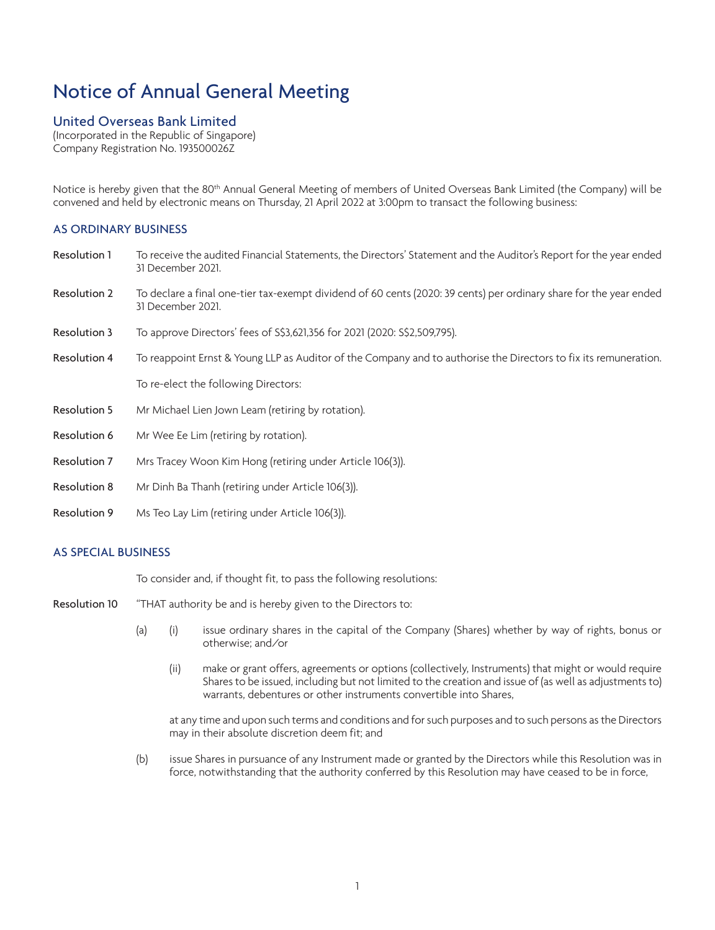# Notice of Annual General Meeting

## United Overseas Bank Limited

(Incorporated in the Republic of Singapore) Company Registration No. 193500026Z

Notice is hereby given that the 80<sup>th</sup> Annual General Meeting of members of United Overseas Bank Limited (the Company) will be convened and held by electronic means on Thursday, 21 April 2022 at 3:00pm to transact the following business:

## AS ORDINARY BUSINESS

- Resolution 1 To receive the audited Financial Statements, the Directors' Statement and the Auditor's Report for the year ended 31 December 2021.
- Resolution 2 To declare a final one-tier tax-exempt dividend of 60 cents (2020: 39 cents) per ordinary share for the year ended 31 December 2021.
- Resolution 3 To approve Directors' fees of S\$3,621,356 for 2021 (2020: S\$2,509,795).
- Resolution 4 To reappoint Ernst & Young LLP as Auditor of the Company and to authorise the Directors to fix its remuneration.

To re-elect the following Directors:

- Resolution 5 Mr Michael Lien Jown Leam (retiring by rotation).
- Resolution 6 Mr Wee Ee Lim (retiring by rotation).
- Resolution 7 Mrs Tracey Woon Kim Hong (retiring under Article 106(3)).
- Resolution 8 Mr Dinh Ba Thanh (retiring under Article 106(3)).
- Resolution 9 Ms Teo Lay Lim (retiring under Article 106(3)).

## AS SPECIAL BUSINESS

To consider and, if thought fit, to pass the following resolutions:

- Resolution 10 "THAT authority be and is hereby given to the Directors to:
	- (a) (i) issue ordinary shares in the capital of the Company (Shares) whether by way of rights, bonus or otherwise; and/or
		- (ii) make or grant offers, agreements or options (collectively, Instruments) that might or would require Shares to be issued, including but not limited to the creation and issue of (as well as adjustments to) warrants, debentures or other instruments convertible into Shares,

at any time and upon such terms and conditions and for such purposes and to such persons as the Directors may in their absolute discretion deem fit; and

(b) issue Shares in pursuance of any Instrument made or granted by the Directors while this Resolution was in force, notwithstanding that the authority conferred by this Resolution may have ceased to be in force,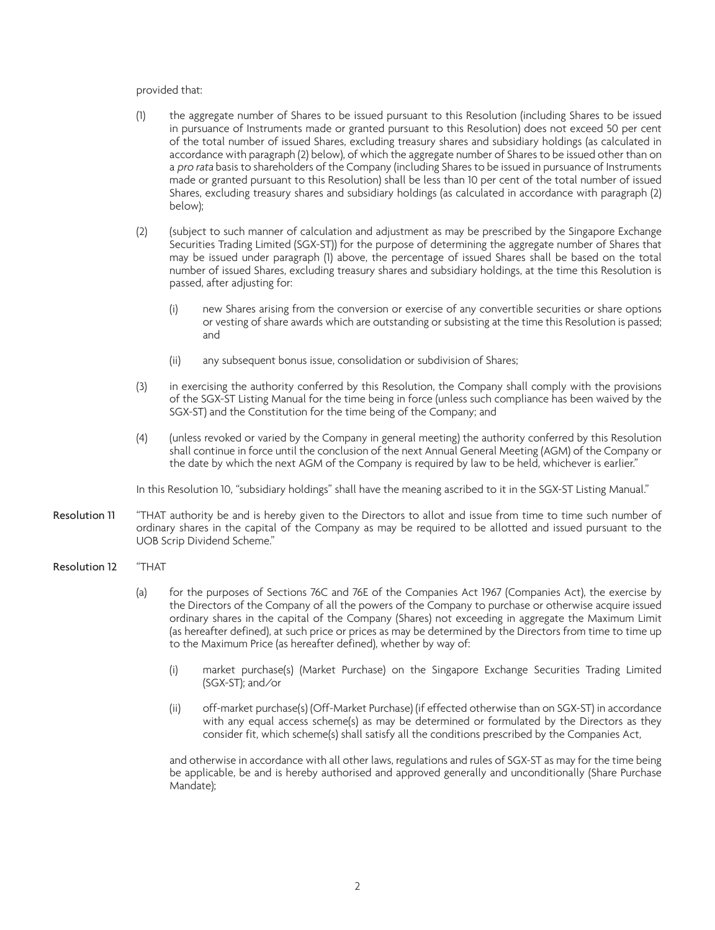#### provided that:

- (1) the aggregate number of Shares to be issued pursuant to this Resolution (including Shares to be issued in pursuance of Instruments made or granted pursuant to this Resolution) does not exceed 50 per cent of the total number of issued Shares, excluding treasury shares and subsidiary holdings (as calculated in accordance with paragraph (2) below), of which the aggregate number of Shares to be issued other than on a *pro rata* basis to shareholders of the Company (including Shares to be issued in pursuance of Instruments made or granted pursuant to this Resolution) shall be less than 10 per cent of the total number of issued Shares, excluding treasury shares and subsidiary holdings (as calculated in accordance with paragraph (2) below);
- (2) (subject to such manner of calculation and adjustment as may be prescribed by the Singapore Exchange Securities Trading Limited (SGX-ST)) for the purpose of determining the aggregate number of Shares that may be issued under paragraph (1) above, the percentage of issued Shares shall be based on the total number of issued Shares, excluding treasury shares and subsidiary holdings, at the time this Resolution is passed, after adjusting for:
	- (i) new Shares arising from the conversion or exercise of any convertible securities or share options or vesting of share awards which are outstanding or subsisting at the time this Resolution is passed; and
	- (ii) any subsequent bonus issue, consolidation or subdivision of Shares;
- (3) in exercising the authority conferred by this Resolution, the Company shall comply with the provisions of the SGX-ST Listing Manual for the time being in force (unless such compliance has been waived by the SGX-ST) and the Constitution for the time being of the Company; and
- (4) (unless revoked or varied by the Company in general meeting) the authority conferred by this Resolution shall continue in force until the conclusion of the next Annual General Meeting (AGM) of the Company or the date by which the next AGM of the Company is required by law to be held, whichever is earlier."

In this Resolution 10, "subsidiary holdings" shall have the meaning ascribed to it in the SGX-ST Listing Manual."

- Resolution 11 "THAT authority be and is hereby given to the Directors to allot and issue from time to time such number of ordinary shares in the capital of the Company as may be required to be allotted and issued pursuant to the UOB Scrip Dividend Scheme."
- Resolution 12 "THAT
	- (a) for the purposes of Sections 76C and 76E of the Companies Act 1967 (Companies Act), the exercise by the Directors of the Company of all the powers of the Company to purchase or otherwise acquire issued ordinary shares in the capital of the Company (Shares) not exceeding in aggregate the Maximum Limit (as hereafter defined), at such price or prices as may be determined by the Directors from time to time up to the Maximum Price (as hereafter defined), whether by way of:
		- (i) market purchase(s) (Market Purchase) on the Singapore Exchange Securities Trading Limited (SGX-ST); and/or
		- (ii) off-market purchase(s) (Off-Market Purchase) (if effected otherwise than on SGX-ST) in accordance with any equal access scheme(s) as may be determined or formulated by the Directors as they consider fit, which scheme(s) shall satisfy all the conditions prescribed by the Companies Act,

and otherwise in accordance with all other laws, regulations and rules of SGX-ST as may for the time being be applicable, be and is hereby authorised and approved generally and unconditionally (Share Purchase Mandate);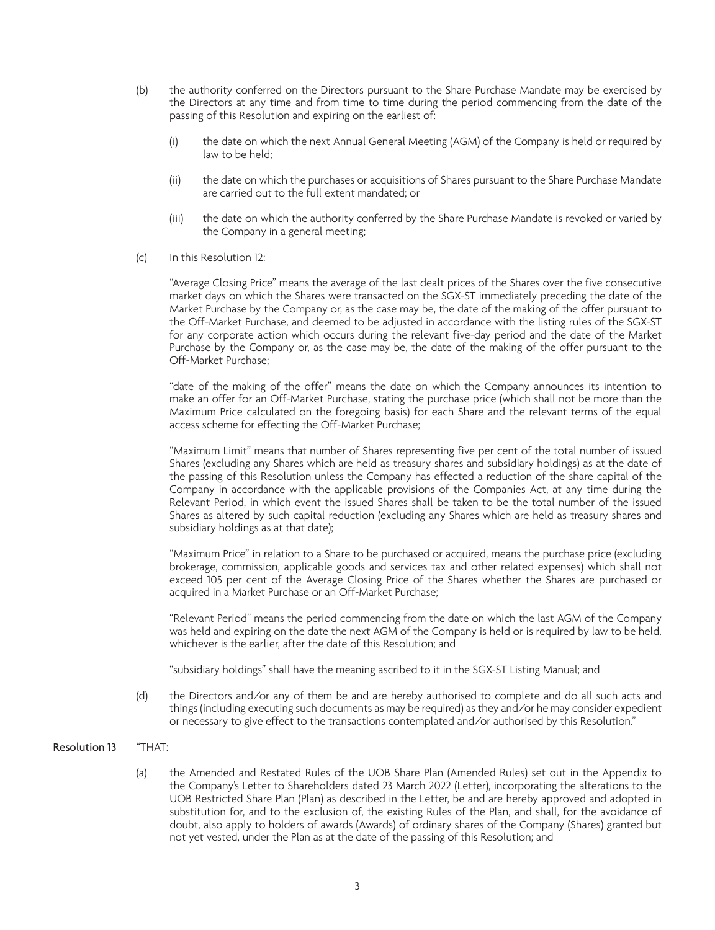- (b) the authority conferred on the Directors pursuant to the Share Purchase Mandate may be exercised by the Directors at any time and from time to time during the period commencing from the date of the passing of this Resolution and expiring on the earliest of:
	- (i) the date on which the next Annual General Meeting (AGM) of the Company is held or required by law to be held;
	- (ii) the date on which the purchases or acquisitions of Shares pursuant to the Share Purchase Mandate are carried out to the full extent mandated; or
	- (iii) the date on which the authority conferred by the Share Purchase Mandate is revoked or varied by the Company in a general meeting;
- (c) In this Resolution 12:

"Average Closing Price" means the average of the last dealt prices of the Shares over the five consecutive market days on which the Shares were transacted on the SGX-ST immediately preceding the date of the Market Purchase by the Company or, as the case may be, the date of the making of the offer pursuant to the Off-Market Purchase, and deemed to be adjusted in accordance with the listing rules of the SGX-ST for any corporate action which occurs during the relevant five-day period and the date of the Market Purchase by the Company or, as the case may be, the date of the making of the offer pursuant to the Off-Market Purchase;

"date of the making of the offer" means the date on which the Company announces its intention to make an offer for an Off-Market Purchase, stating the purchase price (which shall not be more than the Maximum Price calculated on the foregoing basis) for each Share and the relevant terms of the equal access scheme for effecting the Off-Market Purchase;

"Maximum Limit" means that number of Shares representing five per cent of the total number of issued Shares (excluding any Shares which are held as treasury shares and subsidiary holdings) as at the date of the passing of this Resolution unless the Company has effected a reduction of the share capital of the Company in accordance with the applicable provisions of the Companies Act, at any time during the Relevant Period, in which event the issued Shares shall be taken to be the total number of the issued Shares as altered by such capital reduction (excluding any Shares which are held as treasury shares and subsidiary holdings as at that date);

"Maximum Price" in relation to a Share to be purchased or acquired, means the purchase price (excluding brokerage, commission, applicable goods and services tax and other related expenses) which shall not exceed 105 per cent of the Average Closing Price of the Shares whether the Shares are purchased or acquired in a Market Purchase or an Off-Market Purchase;

"Relevant Period" means the period commencing from the date on which the last AGM of the Company was held and expiring on the date the next AGM of the Company is held or is required by law to be held, whichever is the earlier, after the date of this Resolution; and

"subsidiary holdings" shall have the meaning ascribed to it in the SGX-ST Listing Manual; and

(d) the Directors and/or any of them be and are hereby authorised to complete and do all such acts and things (including executing such documents as may be required) as they and/or he may consider expedient or necessary to give effect to the transactions contemplated and/or authorised by this Resolution."

## Resolution 13 "THAT:

(a) the Amended and Restated Rules of the UOB Share Plan (Amended Rules) set out in the Appendix to the Company's Letter to Shareholders dated 23 March 2022 (Letter), incorporating the alterations to the UOB Restricted Share Plan (Plan) as described in the Letter, be and are hereby approved and adopted in substitution for, and to the exclusion of, the existing Rules of the Plan, and shall, for the avoidance of doubt, also apply to holders of awards (Awards) of ordinary shares of the Company (Shares) granted but not yet vested, under the Plan as at the date of the passing of this Resolution; and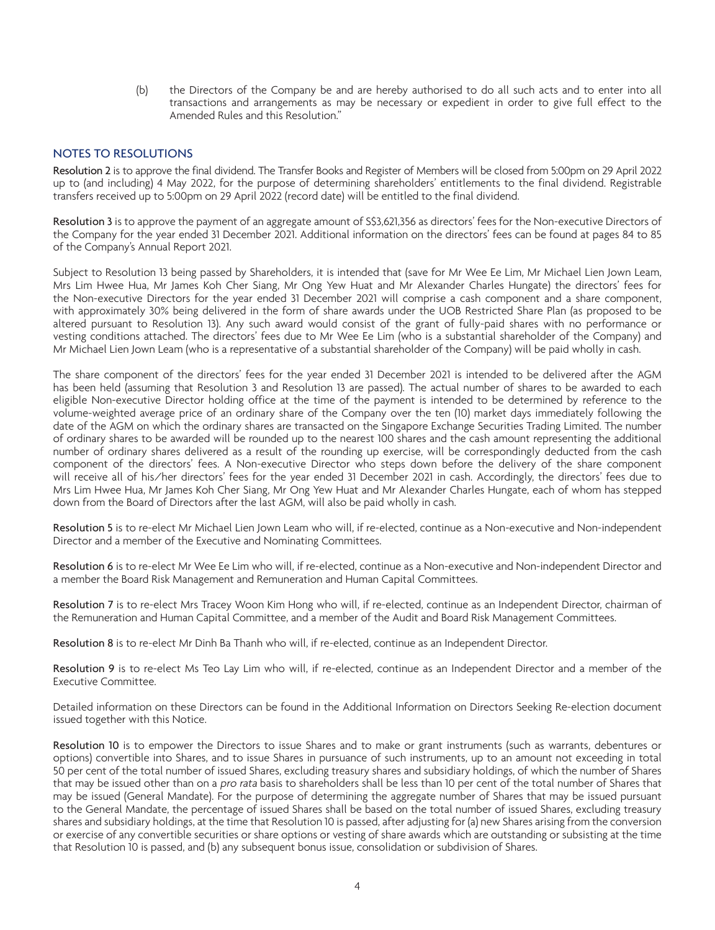(b) the Directors of the Company be and are hereby authorised to do all such acts and to enter into all transactions and arrangements as may be necessary or expedient in order to give full effect to the Amended Rules and this Resolution."

## NOTES TO RESOLUTIONS

Resolution 2 is to approve the final dividend. The Transfer Books and Register of Members will be closed from 5:00pm on 29 April 2022 up to (and including) 4 May 2022, for the purpose of determining shareholders' entitlements to the final dividend. Registrable transfers received up to 5:00pm on 29 April 2022 (record date) will be entitled to the final dividend.

Resolution 3 is to approve the payment of an aggregate amount of S\$3,621,356 as directors' fees for the Non-executive Directors of the Company for the year ended 31 December 2021. Additional information on the directors' fees can be found at pages 84 to 85 of the Company's Annual Report 2021.

Subject to Resolution 13 being passed by Shareholders, it is intended that (save for Mr Wee Ee Lim, Mr Michael Lien Jown Leam, Mrs Lim Hwee Hua, Mr James Koh Cher Siang, Mr Ong Yew Huat and Mr Alexander Charles Hungate) the directors' fees for the Non-executive Directors for the year ended 31 December 2021 will comprise a cash component and a share component, with approximately 30% being delivered in the form of share awards under the UOB Restricted Share Plan (as proposed to be altered pursuant to Resolution 13). Any such award would consist of the grant of fully-paid shares with no performance or vesting conditions attached. The directors' fees due to Mr Wee Ee Lim (who is a substantial shareholder of the Company) and Mr Michael Lien Jown Leam (who is a representative of a substantial shareholder of the Company) will be paid wholly in cash.

The share component of the directors' fees for the year ended 31 December 2021 is intended to be delivered after the AGM has been held (assuming that Resolution 3 and Resolution 13 are passed). The actual number of shares to be awarded to each eligible Non-executive Director holding office at the time of the payment is intended to be determined by reference to the volume-weighted average price of an ordinary share of the Company over the ten (10) market days immediately following the date of the AGM on which the ordinary shares are transacted on the Singapore Exchange Securities Trading Limited. The number of ordinary shares to be awarded will be rounded up to the nearest 100 shares and the cash amount representing the additional number of ordinary shares delivered as a result of the rounding up exercise, will be correspondingly deducted from the cash component of the directors' fees. A Non-executive Director who steps down before the delivery of the share component will receive all of his/her directors' fees for the year ended 31 December 2021 in cash. Accordingly, the directors' fees due to Mrs Lim Hwee Hua, Mr James Koh Cher Siang, Mr Ong Yew Huat and Mr Alexander Charles Hungate, each of whom has stepped down from the Board of Directors after the last AGM, will also be paid wholly in cash.

Resolution 5 is to re-elect Mr Michael Lien Jown Leam who will, if re-elected, continue as a Non-executive and Non-independent Director and a member of the Executive and Nominating Committees.

Resolution 6 is to re-elect Mr Wee Ee Lim who will, if re-elected, continue as a Non-executive and Non-independent Director and a member the Board Risk Management and Remuneration and Human Capital Committees.

Resolution 7 is to re-elect Mrs Tracey Woon Kim Hong who will, if re-elected, continue as an Independent Director, chairman of the Remuneration and Human Capital Committee, and a member of the Audit and Board Risk Management Committees.

Resolution 8 is to re-elect Mr Dinh Ba Thanh who will, if re-elected, continue as an Independent Director.

Resolution 9 is to re-elect Ms Teo Lay Lim who will, if re-elected, continue as an Independent Director and a member of the Executive Committee.

Detailed information on these Directors can be found in the Additional Information on Directors Seeking Re-election document issued together with this Notice.

Resolution 10 is to empower the Directors to issue Shares and to make or grant instruments (such as warrants, debentures or options) convertible into Shares, and to issue Shares in pursuance of such instruments, up to an amount not exceeding in total 50 per cent of the total number of issued Shares, excluding treasury shares and subsidiary holdings, of which the number of Shares that may be issued other than on a *pro rata* basis to shareholders shall be less than 10 per cent of the total number of Shares that may be issued (General Mandate). For the purpose of determining the aggregate number of Shares that may be issued pursuant to the General Mandate, the percentage of issued Shares shall be based on the total number of issued Shares, excluding treasury shares and subsidiary holdings, at the time that Resolution 10 is passed, after adjusting for (a) new Shares arising from the conversion or exercise of any convertible securities or share options or vesting of share awards which are outstanding or subsisting at the time that Resolution 10 is passed, and (b) any subsequent bonus issue, consolidation or subdivision of Shares.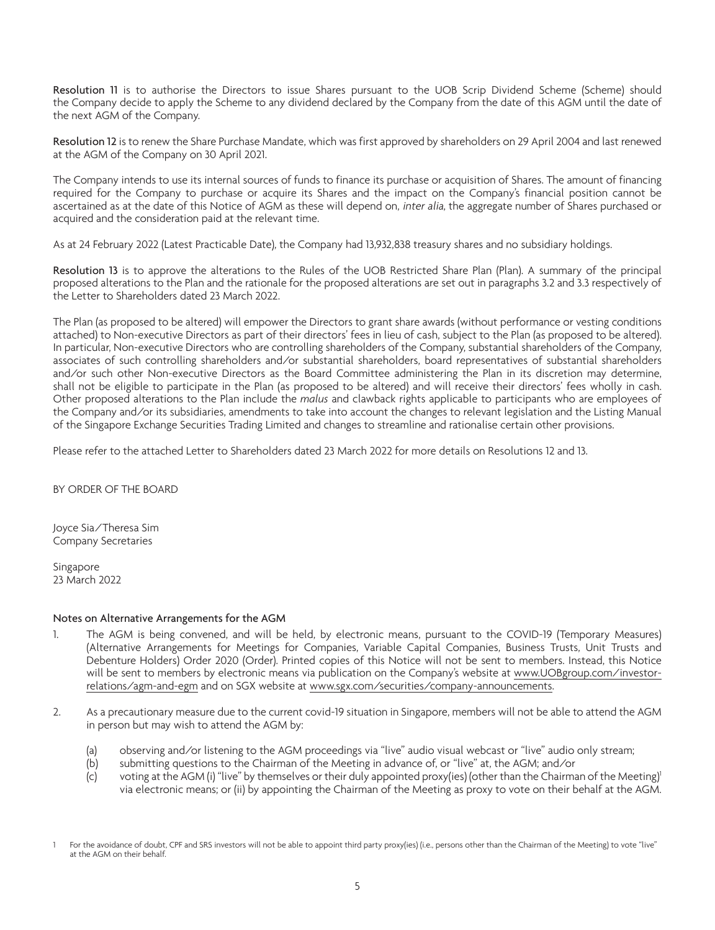Resolution 11 is to authorise the Directors to issue Shares pursuant to the UOB Scrip Dividend Scheme (Scheme) should the Company decide to apply the Scheme to any dividend declared by the Company from the date of this AGM until the date of the next AGM of the Company.

Resolution 12 is to renew the Share Purchase Mandate, which was first approved by shareholders on 29 April 2004 and last renewed at the AGM of the Company on 30 April 2021.

The Company intends to use its internal sources of funds to finance its purchase or acquisition of Shares. The amount of financing required for the Company to purchase or acquire its Shares and the impact on the Company's financial position cannot be ascertained as at the date of this Notice of AGM as these will depend on, inter alia, the aggregate number of Shares purchased or acquired and the consideration paid at the relevant time.

As at 24 February 2022 (Latest Practicable Date), the Company had 13,932,838 treasury shares and no subsidiary holdings.

Resolution 13 is to approve the alterations to the Rules of the UOB Restricted Share Plan (Plan). A summary of the principal proposed alterations to the Plan and the rationale for the proposed alterations are set out in paragraphs 3.2 and 3.3 respectively of the Letter to Shareholders dated 23 March 2022.

The Plan (as proposed to be altered) will empower the Directors to grant share awards (without performance or vesting conditions attached) to Non-executive Directors as part of their directors' fees in lieu of cash, subject to the Plan (as proposed to be altered). In particular, Non-executive Directors who are controlling shareholders of the Company, substantial shareholders of the Company, associates of such controlling shareholders and/or substantial shareholders, board representatives of substantial shareholders and/or such other Non-executive Directors as the Board Committee administering the Plan in its discretion may determine, shall not be eligible to participate in the Plan (as proposed to be altered) and will receive their directors' fees wholly in cash. Other proposed alterations to the Plan include the *malus* and clawback rights applicable to participants who are employees of the Company and/or its subsidiaries, amendments to take into account the changes to relevant legislation and the Listing Manual of the Singapore Exchange Securities Trading Limited and changes to streamline and rationalise certain other provisions.

Please refer to the attached Letter to Shareholders dated 23 March 2022 for more details on Resolutions 12 and 13.

BY ORDER OF THE BOARD

Joyce Sia/Theresa Sim Company Secretaries

Singapore 23 March 2022

## Notes on Alternative Arrangements for the AGM

- 1. The AGM is being convened, and will be held, by electronic means, pursuant to the COVID-19 (Temporary Measures) (Alternative Arrangements for Meetings for Companies, Variable Capital Companies, Business Trusts, Unit Trusts and Debenture Holders) Order 2020 (Order). Printed copies of this Notice will not be sent to members. Instead, this Notice will be sent to members by electronic means via publication on the Company's website at www.UOBgroup.com/investorrelations/agm-and-egm and on SGX website at www.sgx.com/securities/company-announcements.
- 2. As a precautionary measure due to the current covid-19 situation in Singapore, members will not be able to attend the AGM in person but may wish to attend the AGM by:
	- (a) observing and/or listening to the AGM proceedings via "live" audio visual webcast or "live" audio only stream;
	- (b) submitting questions to the Chairman of the Meeting in advance of, or "live" at, the AGM; and/or
	- (c) voting at the AGM (i) "live" by themselves or their duly appointed proxy(ies) (other than the Chairman of the Meeting)<sup>1</sup> via electronic means; or (ii) by appointing the Chairman of the Meeting as proxy to vote on their behalf at the AGM.

<sup>1</sup> For the avoidance of doubt, CPF and SRS investors will not be able to appoint third party proxy(ies) (i.e., persons other than the Chairman of the Meeting) to vote "live" at the AGM on their behalf.